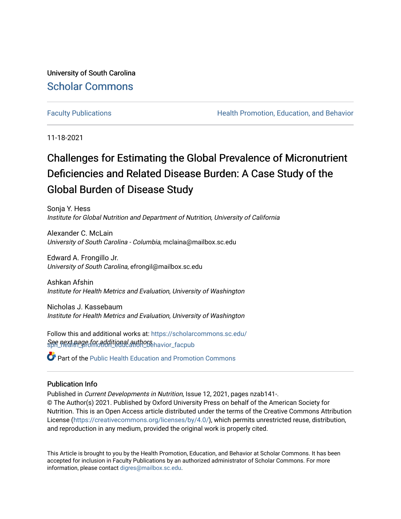University of South Carolina [Scholar Commons](https://scholarcommons.sc.edu/) 

[Faculty Publications](https://scholarcommons.sc.edu/sph_health_promotion_education_behavior_facpub) **Health Promotion, Education, and Behavior Health Promotion, Education, and Behavior** 

11-18-2021

# Challenges for Estimating the Global Prevalence of Micronutrient Deficiencies and Related Disease Burden: A Case Study of the Global Burden of Disease Study

Sonja Y. Hess Institute for Global Nutrition and Department of Nutrition, University of California

Alexander C. McLain University of South Carolina - Columbia, mclaina@mailbox.sc.edu

Edward A. Frongillo Jr. University of South Carolina, efrongil@mailbox.sc.edu

Ashkan Afshin Institute for Health Metrics and Evaluation, University of Washington

Nicholas J. Kassebaum Institute for Health Metrics and Evaluation, University of Washington

See next page for additional authors havior\_facpub Follow this and additional works at: [https://scholarcommons.sc.edu/](https://scholarcommons.sc.edu/sph_health_promotion_education_behavior_facpub?utm_source=scholarcommons.sc.edu%2Fsph_health_promotion_education_behavior_facpub%2F285&utm_medium=PDF&utm_campaign=PDFCoverPages)

Part of the [Public Health Education and Promotion Commons](http://network.bepress.com/hgg/discipline/743?utm_source=scholarcommons.sc.edu%2Fsph_health_promotion_education_behavior_facpub%2F285&utm_medium=PDF&utm_campaign=PDFCoverPages) 

# Publication Info

Published in Current Developments in Nutrition, Issue 12, 2021, pages nzab141-. © The Author(s) 2021. Published by Oxford University Press on behalf of the American Society for Nutrition. This is an Open Access article distributed under the terms of the Creative Commons Attribution License [\(https://creativecommons.org/licenses/by/4.0/\)](https://creativecommons.org/licenses/by/4.0/), which permits unrestricted reuse, distribution, and reproduction in any medium, provided the original work is properly cited.

This Article is brought to you by the Health Promotion, Education, and Behavior at Scholar Commons. It has been accepted for inclusion in Faculty Publications by an authorized administrator of Scholar Commons. For more information, please contact [digres@mailbox.sc.edu.](mailto:digres@mailbox.sc.edu)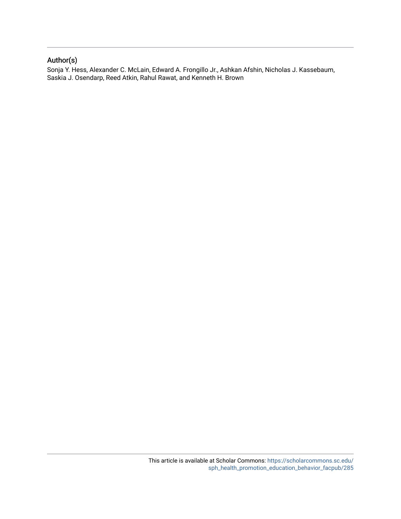# Author(s)

Sonja Y. Hess, Alexander C. McLain, Edward A. Frongillo Jr., Ashkan Afshin, Nicholas J. Kassebaum, Saskia J. Osendarp, Reed Atkin, Rahul Rawat, and Kenneth H. Brown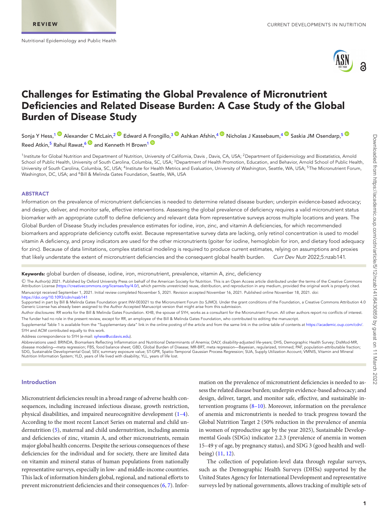<span id="page-2-4"></span><span id="page-2-1"></span>

# **Challenges for Estimating the Global Prevalence of Micronutrient Deficiencies and Related Disease Burden: A Case Study of the Global Burden of Disease Study**

Sonja Y Hess,<sup>1</sup> <sup>®</sup> Alexander C McLain,<sup>[2](#page-2-1) ®</sup> Edward A Frongillo,<sup>[3](#page-2-2) ®</sup> Ashkan Afshin,<sup>4 ®</sup> Nicholas J Kassebaum,<sup>4 ®</sup> Saskia JM Osendarp,<sup>5 ®</sup> Reed Atkin,<sup>[5](#page-2-4)</sup> Rahul Rawat,<sup>[6](#page-2-5) and</sup> Kenneth H Brown<sup>1 and</sup>

<span id="page-2-3"></span><span id="page-2-2"></span><span id="page-2-0"></span><sup>1</sup>Institute for Global Nutrition and Department of Nutrition, University of California, Davis, Davis, CA, USA; <sup>2</sup>Department of Epidemiology and Biostatistics, Arnold School of Public Health, University of South Carolina, Columbia, SC, USA; <sup>3</sup>Department of Health Promotion, Education, and Behavior, Arnold School of Public Health, University of South Carolina, Columbia, SC, USA; <sup>4</sup>Institute for Health Metrics and Evaluation, University of Washington, Seattle, WA, USA; <sup>5</sup>The Micronutrient Forum, Washington, DC, USA; and <sup>6</sup>Bill & Melinda Gates Foundation, Seattle, WA, USA

#### <span id="page-2-5"></span>**ABSTRACT**

Information on the prevalence of micronutrient deficiencies is needed to determine related disease burden; underpin evidence-based advocacy; and design, deliver, and monitor safe, effective interventions. Assessing the global prevalence of deficiency requires a valid micronutrient status biomarker with an appropriate cutoff to define deficiency and relevant data from representative surveys across multiple locations and years. The Global Burden of Disease Study includes prevalence estimates for iodine, iron, zinc, and vitamin A deficiencies, for which recommended biomarkers and appropriate deficiency cutoffs exist. Because representative survey data are lacking, only retinol concentration is used to model vitamin A deficiency, and proxy indicators are used for the other micronutrients (goiter for iodine, hemoglobin for iron, and dietary food adequacy for zinc). Because of data limitations, complex statistical modeling is required to produce current estimates, relying on assumptions and proxies that likely understate the extent of micronutrient deficiencies and the consequent global health burden. Curr Dev Nutr 2022;5:nzab141.

#### **Keywords:** global burden of disease, iodine, iron, micronutrient, prevalence, vitamin A, zinc, deficiency

-C The Author(s) 2021. Published by Oxford University Press on behalf of the American Society for Nutrition. This is an Open Access article distributed under the terms of the Creative Commons Attribution License [\(https://creativecommons.org/licenses/by/4.0/\)](https://creativecommons.org/licenses/by/4.0/), which permits unrestricted reuse, distribution, and reproduction in any medium, provided the original work is properly cited. Manuscript received September 1, 2021. Initial review completed November 5, 2021. Revision accepted November 16, 2021. Published online November 18, 2021. doi: [https://doi.org/10.1093/cdn/nzab141]( https://doi.org/10.1093/cdn/nzab141)

Supported in part by Bill & Melinda Gates Foundation grant INV-003021 to the Micronutrient Forum (to SJMO). Under the grant conditions of the Foundation, a Creative Commons Attribution 4.0 Generic License has already been assigned to the Author Accepted Manuscript version that might arise from this submission.

Author disclosures: RR works for the Bill & Melinda Gates Foundation. KHB, the spouse of SYH, works as a consultant for the Micronutrient Forum. All other authors report no conflicts of interest. The funder had no role in the present review, except for RR, an employee of the Bill & Melinda Gates Foundation, who contributed to editing the manuscript.

Supplemental Table 1 is available from the "Supplementary data" link in the online posting of the article and from the same link in the online table of contents at [https://academic.oup.com/cdn/.](https://academic.oup.com/cdn/) SYH and ACM contributed equally to this work.

Address correspondence to SYH (e-mail: [syhess@ucdavis.edu\)](mailto:syhess@ucdavis.edu).

Abbreviations used: BRINDA, Biomarkers Reflecting Inflammation and Nutritional Determinants of Anemia; DALY, disability-adjusted life-years; DHS, Demographic Health Survey; DisMod-MR, disease modeling—meta regression; FBS, food balance sheet; GBD, Global Burden of Disease; MR-BRT, meta regression—Bayesian, regularized, trimmed; PAF, population-attributable fraction;<br>SDG, Sustainable Developmental Goal; Nutrition Information System; YLD, years of life lived with disability; YLL, years of life lost.

#### **Introduction**

Micronutrient deficiencies result in a broad range of adverse health consequences, including increased infectious disease, growth restriction, physical disabilities, and impaired neurocognitive development [\(1–4\)](#page-12-0). According to the most recent Lancet Series on maternal and child undernutrition [\(5\)](#page-12-1), maternal and child undernutrition, including anemia and deficiencies of zinc, vitamin A, and other micronutrients, remain major global health concerns. Despite the serious consequences of these deficiencies for the individual and for society, there are limited data on vitamin and mineral status of human populations from nationally representative surveys, especially in low- and middle-income countries. This lack of information hinders global, regional, and national efforts to prevent micronutrient deficiencies and their consequences [\(6,](#page-12-2) [7\)](#page-12-3). Infor-

mation on the prevalence of micronutrient deficiencies is needed to assess the related disease burden; underpin evidence-based advocacy; and design, deliver, target, and monitor safe, effective, and sustainable intervention programs  $(8-10)$ . Moreover, information on the prevalence of anemia and micronutrients is needed to track progress toward the Global Nutrition Target 2 (50% reduction in the prevalence of anemia in women of reproductive age by the year 2025), Sustainable Developmental Goals (SDGs) indicator 2.2.3 (prevalence of anemia in women 15–49 y of age, by pregnancy status), and SDG 3 (good health and wellbeing) [\(11,](#page-12-5) [12\)](#page-13-0).

The collection of population-level data through regular surveys, such as the Demographic Health Surveys (DHSs) supported by the United States Agency for International Development and representative surveys led by national governments, allows tracking of multiple sets of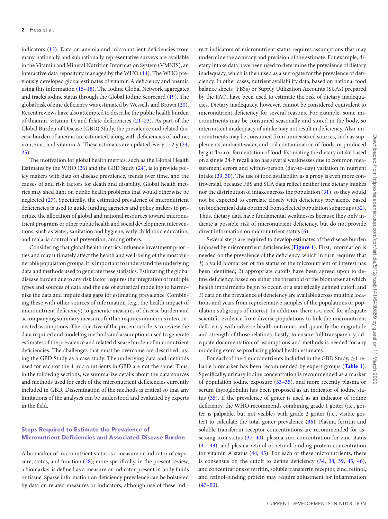indicators [\(13\)](#page-13-1). Data on anemia and micronutrient deficiencies from many nationally and subnationally representative surveys are available in the Vitamin and Mineral Nutrition Information System (VMNIS), an interactive data repository managed by the WHO [\(14\)](#page-13-2). The WHO previously developed global estimates of vitamin A deficiency and anemia using this information [\(15–18\)](#page-13-3). The Iodine Global Network aggregates and tracks iodine status through the Global Iodine Scorecard [\(19\)](#page-13-4). The global risk of zinc deficiency was estimated by Wessells and Brown [\(20\)](#page-13-5). Recent reviews have also attempted to describe the public health burden of thiamin, vitamin D, and folate deficiencies [\(21–23\)](#page-13-6). As part of the Global Burden of Disease (GBD) Study, the prevalence and related disease burden of anemia are estimated, along with deficiencies of iodine, iron, zinc, and vitamin A. These estimates are updated every 1–2 y [\(24,](#page-13-7) [25\)](#page-13-8).

The motivation for global health metrics, such as the Global Health Estimates by the WHO [\(26\)](#page-13-9) and the GBD Study [\(24\)](#page-13-7), is to provide policy makers with data on disease prevalence, trends over time, and the causes of and risk factors for death and disability. Global health metrics may shed light on public health problems that would otherwise be neglected [\(27\)](#page-13-10). Specifically, the estimated prevalence of micronutrient deficiencies is used to guide funding agencies and policy makers to prioritize the allocation of global and national resources toward micronutrient programs or other public health and social development interventions, such as water, sanitation and hygiene, early childhood education, and malaria control and prevention, among others.

Considering that global health metrics influence investment priorities and may ultimately affect the health and well-being of the most vulnerable population groups, it is important to understand the underlying data and methods used to generate these statistics. Estimating the global disease burden due to any risk factor requires the integration of multiple types and sources of data and the use of statistical modeling to harmonize the data and impute data gaps for estimating prevalence. Combining these with other sources of information (e.g., the health impact of micronutrient deficiency) to generate measures of disease burden and accompanying summary measures further requires numerous interconnected assumptions. The objective of the present article is to review the data required and modeling methods and assumptions used to generate estimates of the prevalence and related disease burden of micronutrient deficiencies. The challenges that must be overcome are described, using the GBD Study as a case study. The underlying data and methods used for each of the 4 micronutrients in GBD are not the same. Thus, in the following sections, we summarize details about the data sources and methods used for each of the micronutrient deficiencies currently included in GBD. Dissemination of the methods is critical so that any limitations of the analyses can be understood and evaluated by experts in the field.

# **Steps Required to Estimate the Prevalence of Micronutrient Deficiencies and Associated Disease Burden**

A biomarker of micronutrient status is a measure or indicator of exposure, status, and function [\(28\)](#page-13-11); more specifically, in the present review, a biomarker is defined as a measure or indicator present in body fluids or tissue. Sparse information on deficiency prevalence can be bolstered by data on related measures or indicators, although use of these indi-

rect indicators of micronutrient status requires assumptions that may undermine the accuracy and precision of the estimate. For example, dietary intake data have been used to determine the prevalence of dietary inadequacy, which is then used as a surrogate for the prevalence of deficiency. In other cases, nutrient availability data, based on national food balance sheets (FBSs) or Supply Utilization Accounts (SUAs) prepared by the FAO, have been used to estimate the risk of dietary inadequacies. Dietary inadequacy, however, cannot be considered equivalent to micronutrient deficiency for several reasons. For example, some micronutrients may be consumed seasonally and stored in the body, so intermittent inadequacy of intake may not result in deficiency. Also, micronutrients may be consumed from unmeasured sources, such as supplements, ambient water, and soil contamination of foods, or produced by gut flora or fermentation of food. Estimating the dietary intake based on a single 24-h recall also has several weaknesses due to common measurement errors and within-person (day-to-day) variation in nutrient intake [\(29,](#page-13-12) [30\)](#page-13-13). The use of food availability as a proxy is even more controversial, because FBS and SUA data reflect neither true dietary intakes nor the distribution of intakes across the population [\(31\)](#page-13-14), so they would not be expected to correlate closely with deficiency prevalence based on biochemical data obtained from selected population subgroups [\(32\)](#page-13-15). Thus, dietary data have fundamental weaknesses because they only indicate a possible risk of micronutrient deficiency, but do not provide direct information on micronutrient status [\(6\)](#page-12-2).

Several steps are required to develop estimates of the disease burden imposed by micronutrient deficiencies (**[Figure 1](#page-4-0)**). First, information is needed on the prevalence of the deficiency, which in turn requires that *1*) a valid biomarker of the status of the micronutrient of interest has been identified; *2*) appropriate cutoffs have been agreed upon to define deficiency, based on either the threshold of the biomarker at which health impairments begin to occur, or a statistically defined cutoff; and *3*) data on the prevalence of deficiency are available across multiple locations and years from representative samples of the populations or population subgroups of interest. In addition, there is a need for adequate scientific evidence from diverse populations to link the micronutrient deficiency with adverse health outcomes and quantify the magnitude and strength of those relations. Lastly, to ensure full transparency, adequate documentation of assumptions and methods is needed for any modeling exercise producing global health estimates.

For each of the 4 micronutrients included in the GBD Study,  $\geq$ 1 reliable biomarker has been recommended by expert groups (**[Table 1](#page-4-1)**). Specifically, urinary iodine concentration is recommended as a marker of population iodine exposure [\(33–35\)](#page-13-16), and more recently plasma or serum thyroglobulin has been proposed as an indicator of iodine status [\(35\)](#page-13-17). If the prevalence of goiter is used as an indicator of iodine deficiency, the WHO recommends combining grade 1 goiter (i.e., goiter is palpable, but not visible) with grade 2 goiter (i.e., visible goiter) to calculate the total goiter prevalence [\(36\)](#page-13-18). Plasma ferritin and soluble transferrin receptor concentrations are recommended for assessing iron status [\(37–40\)](#page-13-19), plasma zinc concentration for zinc status [\(41–43\)](#page-13-20), and plasma retinol or retinol-binding protein concentration for vitamin A status [\(44,](#page-13-21) [45\)](#page-13-22). For each of these micronutrients, there is consensus on the cutoff to define deficiency [\(34,](#page-13-23) [38,](#page-13-24) [39,](#page-13-25) [45,](#page-13-22) [46\)](#page-13-26), and concentrations of ferritin, soluble transferrin receptor, zinc, retinol, and retinol-binding protein may require adjustment for inflammation  $(47-50).$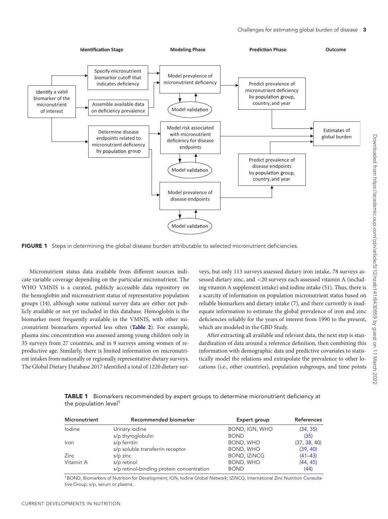<span id="page-4-0"></span>

**FIGURE 1** Steps in determining the global disease burden attributable to selected micronutrient deficiencies.

Micronutrient status data available from different sources indicate variable coverage depending on the particular micronutrient. The WHO VMNIS is a curated, publicly accessible data repository on the hemoglobin and micronutrient status of representative population groups [\(14\)](#page-13-2), although some national survey data are either not publicly available or not yet included in this database. Hemoglobin is the biomarker most frequently available in the VMNIS, with other micronutrient biomarkers reported less often (**[Table 2](#page-5-0)**). For example, plasma zinc concentration was assessed among young children only in 35 surveys from 27 countries, and in 9 surveys among women of reproductive age. Similarly, there is limited information on micronutrient intakes from nationally or regionally representative dietary surveys. The Global Dietary Database 2017 identified a total of 1220 dietary surveys, but only 113 surveys assessed dietary iron intake, 78 surveys assessed dietary zinc, and <20 surveys each assessed vitamin A (including vitamin A supplement intake) and iodine intake [\(51\)](#page-14-0). Thus, there is a scarcity of information on population micronutrient status based on reliable biomarkers and dietary intake [\(7\)](#page-12-3), and there currently is inadequate information to estimate the global prevalence of iron and zinc deficiencies reliably for the years of interest from 1990 to the present, which are modeled in the GBD Study.

After extracting all available and relevant data, the next step is standardization of data around a reference definition, then combining this information with demographic data and predictive covariates to statistically model the relations and extrapolate the prevalence to other locations (i.e., other countries), population subgroups, and time points

<span id="page-4-1"></span>**TABLE 1** Biomarkers recommended by expert groups to determine micronutrient deficiency at the population level<sup>1</sup>

| Micronutrient | Recommended biomarker                     | Expert group        | <b>References</b> |
|---------------|-------------------------------------------|---------------------|-------------------|
| lodine        | Urinary iodine                            | BOND, IGN, WHO      | (34, 35)          |
|               | s/p thyroglobulin                         | <b>BOND</b>         | (35)              |
| Iron          | s/p ferritin                              | BOND, WHO           | (37, 38, 40)      |
|               | s/p soluble transferrin receptor          | BOND, WHO           | (39, 40)          |
| <b>Zinc</b>   | $s/p$ zinc                                | <b>BOND, IZINCG</b> | $(41 - 43)$       |
| Vitamin A     | s/p retinol                               | BOND, WHO           | (44, 45)          |
|               | s/p retinol-binding protein concentration | <b>BOND</b>         | (44)              |

1BOND, Biomarkers of Nutrition for Development; IGN, Iodine Global Network; IZiNCG, International Zinc Nutrition Consultative Group; s/p, serum or plasma.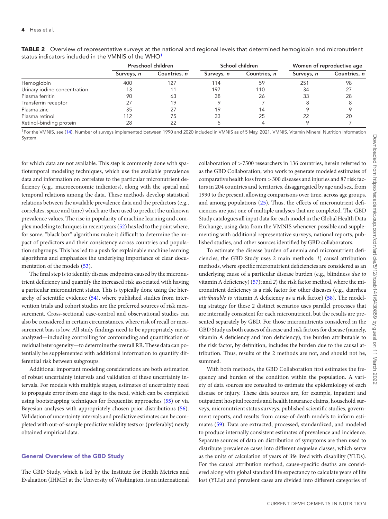|                              | Preschool children |              | School children |              | Women of reproductive age |              |
|------------------------------|--------------------|--------------|-----------------|--------------|---------------------------|--------------|
|                              | Surveys, n         | Countries, n | Surveys, n      | Countries, n | Surveys, n                | Countries, n |
| Hemoglobin                   | 400                | 127          | 114             | 59           | 251                       | 98           |
| Urinary iodine concentration | 13                 |              | 197             | 110          | 34                        |              |
| Plasma ferritin              | 90                 | 63           | 38              | 26           | 33                        | 28           |
| Transferrin receptor         |                    | 19           |                 |              |                           |              |
| Plasma zinc                  | 35                 |              | 19              | 14           |                           |              |
| Plasma retinol               | 112                | 75           | 33              | 25           | 22                        | 20           |
| Retinol-binding protein      | 28                 |              |                 |              |                           |              |

<span id="page-5-0"></span>**TABLE 2** Overview of representative surveys at the national and regional levels that determined hemoglobin and micronutrient status indicators included in the VMNIS of the WHO<sup>1</sup>

<sup>1</sup>For the VMNIS, see [\(14\)](#page-13-2). Number of surveys implemented between 1990 and 2020 included in VMNIS as of 5 May, 2021, VMNIS, Vitamin Mineral Nutrition Information System.

for which data are not available. This step is commonly done with spatiotemporal modeling techniques, which use the available prevalence data and information on correlates to the particular micronutrient deficiency (e.g., macroeconomic indicators), along with the spatial and temporal relations among the data. These methods develop statistical relations between the available prevalence data and the predictors (e.g., correlates, space and time) which are then used to predict the unknown prevalence values. The rise in popularity of machine learning and complex modeling techniques in recent years [\(52\)](#page-14-1) has led to the point where, for some, "black box" algorithms make it difficult to determine the impact of predictors and their consistency across countries and population subgroups. This has led to a push for explainable machine learning algorithms and emphasizes the underlying importance of clear documentation of the models [\(53\)](#page-14-2).

The final step is to identify disease endpoints caused by the micronutrient deficiency and quantify the increased risk associated with having a particular micronutrient status. This is typically done using the hierarchy of scientific evidence [\(54\)](#page-14-3), where published studies from intervention trials and cohort studies are the preferred sources of risk measurement. Cross-sectional case-control and observational studies can also be considered in certain circumstances, where risk of recall or measurement bias is low. All study findings need to be appropriately metaanalyzed—including controlling for confounding and quantification of residual heterogeneity—to determine the overall RR. These data can potentially be supplemented with additional information to quantify differential risk between subgroups.

Additional important modeling considerations are both estimation of robust uncertainty intervals and validation of these uncertainty intervals. For models with multiple stages, estimates of uncertainty need to propagate error from one stage to the next, which can be completed using bootstrapping techniques for frequentist approaches [\(55\)](#page-14-4) or via Bayesian analyses with appropriately chosen prior distributions [\(56\)](#page-14-5). Validation of uncertainty intervals and predictive estimates can be completed with out-of-sample predictive validity tests or (preferably) newly obtained empirical data.

#### **General Overview of the GBD Study**

The GBD Study, which is led by the Institute for Health Metrics and Evaluation (IHME) at the University of Washington, is an international

collaboration of >7500 researchers in 136 countries, herein referred to as the GBD Collaboration, who work to generate modeled estimates of comparative health loss from >300 diseases and injuries and 87 risk factors in 204 countries and territories, disaggregated by age and sex, from 1990 to the present, allowing comparisons over time, across age groups, and among populations [\(25\)](#page-13-8). Thus, the effects of micronutrient deficiencies are just one of multiple analyses that are completed. The GBD Study catalogues all input data for each model in the Global Health Data Exchange, using data from the VMNIS whenever possible and supplementing with additional representative surveys, national reports, published studies, and other sources identified by GBD collaborators.

To estimate the disease burden of anemia and micronutrient deficiencies, the GBD Study uses 2 main methods: *1*) causal attribution methods, where specific micronutrient deficiencies are considered as an underlying cause of a particular disease burden (e.g., blindness *due to* vitamin A deficiency) [\(57\)](#page-14-6); and *2*) the risk factor method, where the micronutrient deficiency is a risk factor for other diseases (e.g., diarrhea *attributable to* vitamin A deficiency as a risk factor) [\(58\)](#page-14-7). The modeling strategy for these 2 distinct scenarios uses parallel processes that are internally consistent for each micronutrient, but the results are presented separately by GBD. For those micronutrients considered in the GBD Study as both causes of disease and risk factors for disease (namely, vitamin A deficiency and iron deficiency), the burden attributable to the risk factor, by definition, includes the burden due to the causal attribution. Thus, results of the 2 methods are not, and should not be, summed.

With both methods, the GBD Collaboration first estimates the frequency and burden of the condition within the population. A variety of data sources are consulted to estimate the epidemiology of each disease or injury. These data sources are, for example, inpatient and outpatient hospital records and health insurance claims, household surveys, micronutrient status surveys, published scientific studies, government reports, and results from cause-of-death models to inform estimates [\(59\)](#page-14-8). Data are extracted, processed, standardized, and modeled to produce internally consistent estimates of prevalence and incidence. Separate sources of data on distribution of symptoms are then used to distribute prevalence cases into different sequelae classes, which serve as the units of calculation of years of life lived with disability (YLDs). For the causal attribution method, cause-specific deaths are considered along with global standard life expectancy to calculate years of life lost (YLLs) and prevalent cases are divided into different categories of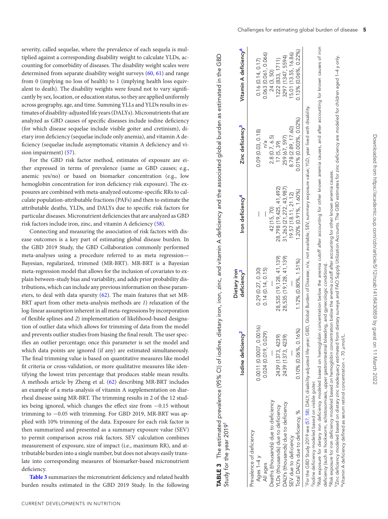severity, called sequelae, where the prevalence of each sequela is multiplied against a corresponding disability weight to calculate YLDs, accounting for comorbidity of diseases. The disability weight scales were determined from separate disability weight surveys [\(60,](#page-14-9) [61\)](#page-14-10) and range from 0 (implying no loss of health) to 1 (implying health loss equivalent to death). The disability weights were found not to vary significantly by sex, location, or education status, so they are applied uniformly across geography, age, and time. Summing YLLs and YLDs results in estimates of disability-adjusted life years (DALYs). Micronutrients that are analyzed as GBD causes of specific diseases include iodine deficiency (for which disease sequelae include visible goiter and cretinism), dietary iron deficiency (sequelae include only anemia), and vitamin A deficiency (sequelae include asymptomatic vitamin A deficiency and vision impairment) [\(57\)](#page-14-6).

For the GBD risk factor method, estimates of exposure are either expressed in terms of prevalence (same as GBD causes; e.g., anemic yes/no) or based on biomarker concentration (e.g., low hemoglobin concentration for iron deficiency risk exposure). The exposures are combined with meta-analyzed outcome-specific RRs to calculate population-attributable fractions (PAFs) and then to estimate the attributable deaths, YLDs, and DALYs due to specific risk factors for particular diseases. Micronutrient deficiencies that are analyzed as GBD risk factors include iron, zinc, and vitamin A deficiency [\(58\)](#page-14-7).

Connecting and measuring the association of risk factors with disease outcomes is a key part of estimating global disease burden. In the GBD 2019 Study, the GBD Collaboration commonly performed meta-analyses using a procedure referred to as meta regression— Bayesian, regularized, trimmed (MR-BRT). MR-BRT is a Bayesian meta-regression model that allows for the inclusion of covariates to explain between-study bias and variability, and adds prior probability distributions, which can include any previous information on these parameters, to deal with data sparsity [\(62\)](#page-14-11). The main features that set MR-BRT apart from other meta-analysis methods are *1*) relaxation of the log-linear assumption inherent in all meta-regressions by incorporation of flexible splines and *2*) implementation of likelihood-based designation of outlier data which allows for trimming of data from the model and prevents outlier studies from biasing the final result. The user specifies an outlier percentage; once this parameter is set the model and which data points are ignored (if any) are estimated simultaneously. The final trimming value is based on quantitative measures like model fit criteria or cross-validation, or more qualitative measures like identifying the lowest trim percentage that produces stable mean results. A methods article by Zheng et al. [\(62\)](#page-14-11) describing MR-BRT includes an example of a meta-analysis of vitamin A supplementation on diarrheal disease using MR-BRT. The trimming results in 2 of the 12 studies being ignored, which changes the effect size from −0.15 without trimming to −0.05 with trimming. For GBD 2019, MR-BRT was applied with 10% trimming of the data. Exposure for each risk factor is then summarized and presented as a summary exposure value (SEV) to permit comparison across risk factors. SEV calculation combines measurement of exposure, size of impact (i.e., maximum RR), and attributable burden into a single number, but does not always easily translate into corresponding measures of biomarker-based micronutrient deficiency.

**[Table 3](#page-6-0)** summarizes the micronutrient deficiency and related health burden results estimated in the GBD 2019 Study. In the following

CURRENT DEVELOPMENTS IN NUTRITION

|                                      | lodine deficiency <sup>2</sup> | deficiency <sup>3</sup> | Iron deficiency <sup>4</sup> | Zinc deficiency <sup>2</sup> | Vitamin A deficiency <sup>o</sup> |
|--------------------------------------|--------------------------------|-------------------------|------------------------------|------------------------------|-----------------------------------|
| revalence of deficiency              |                                |                         |                              |                              |                                   |
| Ages $1-4$ y                         | 0.0011 (0.0007, 0.0016)        | 0.29(0.27, 0.30)        | I                            | 0.09(0.03, 0.18)             | 0.16(0.14, 0.17)                  |
| All ages                             | 0.024 (0.019, 0.029)           | 0.14(0.14, 0.15)        |                              | n/a                          | 0.063 (0.061, 0.066)              |
| Deaths (thousands) due to deficiency |                                |                         | 42 (15, 70)                  | 2.8(0.7, 6.5)                | 24 (3, 50)                        |
| 'LDs (thousands) due to deficiency   | 2439 (1373, 4239)              | 28,535 (19,128, 41,139) | 28,798 (19,425, 41,492)      | 17(5, 39)                    | 1222(833, 1711)                   |
| DALYs (thousands) due to deficiency  | 2439 (1373, 4239)              | 28,535 (19,128, 41,139) | 31,263 (21,272, 43,987)      | 259 (67, 597)                | 3297 (1347, 5594)                 |
| SEV due to deficiency                |                                |                         | 19.57 (18.11, 21.12)         | 8.78 (2.89, 17.60)           | 5.01 (13.55, 16.86)               |
| Total DALYs due to deficiency, %     | 0.16%<br>0.10% (0.06%, 0.10%)  | 1.12% (0.80%, 1.51%)    | 1.20% (0.91%, 1.60%)         | 0.01% (0.003%, 0.02%)        | 0.13% (0.06%, 0.22%)              |
|                                      |                                |                         |                              |                              |                                   |

**TABLE 3** The estimated prevalence (95% CI) of iodine, dietary iron, iron, zinc, and vitamin A deficiency and the associated global burden as estimated in the GBD

TABLE 3 The estimated prevalence (95% CI) of iodine, dietary iron, iron, zinc, and vitamin A deficiency and the associated global burden as estimated in the GBD

**Dietary iron**

Dietary iron

<span id="page-6-0"></span>Study for the year 2019<sup>1</sup>

Study for the year 2019<sup>1</sup>

For the GBD Study 2019 see (57, 58). DALY, disability-adjusted life-year; GBD, Global Burden of Disease; n/a, not available; SEV, summary exposure value; YLD, year lived with disability. l For the GBD Study 2019 see [\(57,](#page-14-6) [58\)](#page-14-7). DALY, disability-adjusted life-year; GBD, Global Burden of Disease; n/a, not available; SEV, summary exposure value; YLD, year lived with disability<br><sup>2</sup> Iodine deficiency modeled base <sup>2</sup>lodine deficiency modeled based on visible goiter.

Risk exposure for dietary iron deficiency modeled based on hemoglobin concentration below the anemia cutoff after accounting for other known anemia causes, and after accounting for known causes of iron 3Risk exposure for dietary iron deficiency modeled based on hemoglobin concentration below the anemia cutoff after accounting for other known anemia causes, and after accounting for known causes of iron deficiency (such as hookworm, schistosomiasis, upper gastrointestinal bleeding, and gynecologic conditions). deficiency (such as hookworm, schistosomiasis, upper gastrointestinal bleeding, and gynecologic conditions).

Risk exposure for iron deficiency modeled based on hemoglobin concentration below the anemia cutoff after accounting for other known anemia causes. 4Risk exposure for iron deficiency modeled based on hemoglobin concentration below the anemia cutoff after accounting for other known anemia causes.

Žinc deficiency modeled based on dietary zinc inadequacy estimated from dietary surveys and FAO Supply Utilization Accounts. The GBD estimates for zinc deficiency are modeled for children aged 1–4 y only "Zinc deficiency modeled based on dietary zinc inadequacy estimated from dietary surveys and FAO Supply Utilization Accounts. The GBD estimates for zinc deficiency are modeled for children aged 1–4 y only<br>Witamin A deficie Vitamin A deficiency defined as serum retinol concentration  $<$  70  $\mu$ mol/L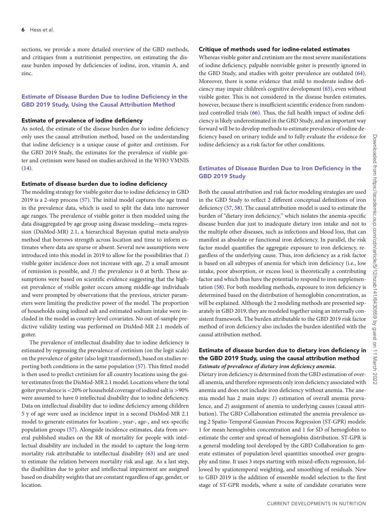sections, we provide a more detailed overview of the GBD methods, and critiques from a nutritionist perspective, on estimating the disease burden imposed by deficiencies of iodine, iron, vitamin A, and zinc.

# **Estimate of Disease Burden Due to Iodine Deficiency in the GBD 2019 Study, Using the Causal Attribution Method**

#### **Estimate of prevalence of iodine deficiency**

As noted, the estimate of the disease burden due to iodine deficiency only uses the causal attribution method, based on the understanding that iodine deficiency is a unique cause of goiter and cretinism. For the GBD 2019 Study, the estimates for the prevalence of visible goiter and cretinism were based on studies archived in the WHO VMNIS  $(14)$ .

#### **Estimate of disease burden due to iodine deficiency**

The modeling strategy for visible goiter due to iodine deficiency in GBD 2019 is a 2-step process [\(57\)](#page-14-6). The initial model captures the age trend in the prevalence data, which is used to split the data into narrower age ranges. The prevalence of visible goiter is then modeled using the data disaggregated by age group using disease modeling—meta regression (DisMod-MR) 2.1, a hierarchical Bayesian spatial meta-analysis method that borrows strength across location and time to inform estimates where data are sparse or absent. Several new assumptions were introduced into this model in 2019 to allow for the possibilities that *1*) visible goiter incidence does not increase with age, *2*) a small amount of remission is possible, and *3*) the prevalence is 0 at birth. These assumptions were based on scientific evidence suggesting that the highest prevalence of visible goiter occurs among middle-age individuals and were prompted by observations that the previous, stricter parameters were limiting the predictive power of the model. The proportion of households using iodized salt and estimated sodium intake were included in the model as country-level covariates. No out-of-sample predictive validity testing was performed on DisMod-MR 2.1 models of goiter.

The prevalence of intellectual disability due to iodine deficiency is estimated by regressing the prevalence of cretinism (on the logit scale) on the prevalence of goiter (also logit transformed), based on studies reporting both conditions in the same population [\(57\)](#page-14-6). This fitted model is then used to predict cretinism for all country locations using the goiter estimates from the DisMod-MR 2.1 model. Locations where the total goiter prevalence is<20% or household coverage of iodized salt is>90% were assumed to have 0 intellectual disability due to iodine deficiency. Data on intellectual disability due to iodine deficiency among children 5 y of age were used as incidence input in a second DisMod-MR 2.1 model to generate estimates for location-, year-, age-, and sex-specific population groups [\(57\)](#page-14-6). Alongside incidence estimates, data from several published studies on the RR of mortality for people with intellectual disability are included in the model to capture the long-term mortality risk attributable to intellectual disability [\(63\)](#page-14-12) and are used to estimate the relation between mortality risk and age. As a last step, the disabilities due to goiter and intellectual impairment are assigned based on disability weights that are constant regardless of age, gender, or location.

#### **Critique of methods used for iodine-related estimates**

Whereas visible goiter and cretinism are the most severe manifestations of iodine deficiency, palpable nonvisible goiter is presently ignored in the GBD Study, and studies with goiter prevalence are outdated [\(64\)](#page-14-13). Moreover, there is some evidence that mild to moderate iodine deficiency may impair children's cognitive development [\(65\)](#page-14-14), even without visible goiter. This is not considered in the disease burden estimates, however, because there is insufficient scientific evidence from randomized controlled trials [\(66\)](#page-14-15). Thus, the full health impact of iodine deficiency is likely underestimated in the GBD Study, and an important way forward will be to develop methods to estimate prevalence of iodine deficiency based on urinary iodide and to fully evaluate the evidence for iodine deficiency as a risk factor for other conditions.

# **Estimates of Disease Burden Due to Iron Deficiency in the GBD 2019 Study**

Both the causal attribution and risk factor modeling strategies are used in the GBD Study to reflect 2 different conceptual definitions of iron deficiency [\(57,](#page-14-6) [58\)](#page-14-7). The causal attribution model is used to estimate the burden of "dietary iron deficiency," which isolates the anemia-specific disease burden due just to inadequate dietary iron intake and not to the multiple other diseases, such as infections and blood loss, that can manifest as absolute or functional iron deficiency. In parallel, the risk factor model quantifies the aggregate exposure to iron deficiency, regardless of the underlying cause. Thus, iron deficiency as a risk factor is based on all subtypes of anemia for which iron deficiency (i.e., low intake, poor absorption, or excess loss) is theoretically a contributing factor and which thus have the potential to respond to iron supplementation [\(58\)](#page-14-7). For both modeling methods, exposure to iron deficiency is determined based on the distribution of hemoglobin concentration, as will be explained. Although the 2 modeling methods are presented separately in GBD 2019, they are modeled together using an internally consistent framework. The burden attributable to the GBD 2019 risk factor method of iron deficiency also includes the burden identified with the causal attribution method.

## **Estimate of disease burden due to dietary iron deficiency in the GBD 2019 Study, using the causal attribution method** *Estimate of prevalence of dietary iron deficiency anemia.*

Dietary iron deficiency is determined from the GBD estimation of overall anemia, and therefore represents only iron deficiency associated with anemia and does not include iron deficiency without anemia. The anemia model has 2 main steps: *1*) estimation of overall anemia prevalence, and *2*) assignment of anemia to underlying causes (causal attribution). The GBD Collaboration estimated the anemia prevalence using 2 Spatio-Temporal Gaussian Process Regression (ST-GPR) models: 1 for mean hemoglobin concentration and 1 for SD of hemoglobin to estimate the center and spread of hemoglobin distribution. ST-GPR is a general modeling tool developed by the GBD Collaboration to generate estimates of population-level quantities smoothed over geography and time. It uses 3 steps starting with mixed-effects regression, followed by spatiotemporal weighting, and smoothing of residuals. New to GBD 2019 is the addition of ensemble model selection to the first stage of ST-GPR models, where a suite of candidate covariates were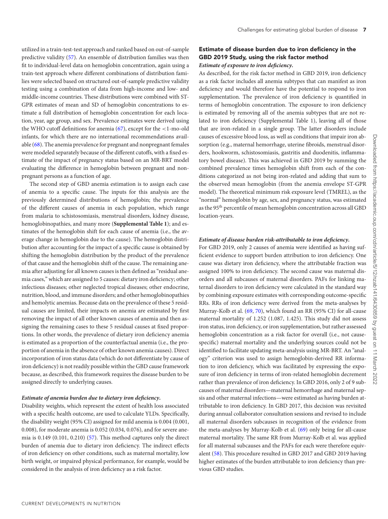utilized in a train-test-test approach and ranked based on out-of-sample predictive validity [\(57\)](#page-14-6). An ensemble of distribution families was then fit to individual-level data on hemoglobin concentration, again using a train-test approach where different combinations of distribution families were selected based on structured out-of-sample predictive validity testing using a combination of data from high-income and low- and middle-income countries. These distributions were combined with ST-GPR estimates of mean and SD of hemoglobin concentrations to estimate a full distribution of hemoglobin concentration for each location, year, age group, and sex. Prevalence estimates were derived using the WHO cutoff definitions for anemia  $(67)$ , except for the <1-mo-old infants, for which there are no international recommendations available [\(68\)](#page-14-17). The anemia prevalence for pregnant and nonpregnant females were modeled separately because of the different cutoffs, with a fixed estimate of the impact of pregnancy status based on an MR-BRT model evaluating the difference in hemoglobin between pregnant and nonpregnant persons as a function of age.

The second step of GBD anemia estimation is to assign each case of anemia to a specific cause. The inputs for this analysis are the previously determined distributions of hemoglobin; the prevalence of the different causes of anemia in each population, which range from malaria to schistosomiasis, menstrual disorders, kidney disease, hemoglobinopathies, and many more (**Supplemental Table 1**); and estimates of the hemoglobin shift for each cause of anemia (i.e., the average change in hemoglobin due to the cause). The hemoglobin distribution after accounting for the impact of a specific cause is obtained by shifting the hemoglobin distribution by the product of the prevalence of that cause and the hemoglobin shift of the cause. The remaining anemia after adjusting for all known causes is then defined as "residual anemia cases," which are assigned to 5 causes: dietary iron deficiency; other infectious diseases; other neglected tropical diseases; other endocrine, nutrition, blood, and immune disorders; and other hemoglobinopathies and hemolytic anemias. Because data on the prevalence of these 5 residual causes are limited, their impacts on anemia are estimated by first removing the impact of all other known causes of anemia and then assigning the remaining cases to these 5 residual causes at fixed proportions. In other words, the prevalence of dietary iron deficiency anemia is estimated as a proportion of the counterfactual anemia (i.e., the proportion of anemia in the absence of other known anemia causes). Direct incorporation of iron status data (which do not differentiate by cause of iron deficiency) is not readily possible within the GBD cause framework because, as described, this framework requires the disease burden to be assigned directly to underlying causes.

# *Estimate of anemia burden due to dietary iron deficiency.*

Disability weights, which represent the extent of health loss associated with a specific health outcome, are used to calculate YLDs. Specifically, the disability weight (95% CI) assigned for mild anemia is 0.004 (0.001, 0.008), for moderate anemia is 0.052 (0.034, 0.076), and for severe anemia is 0.149 (0.101, 0.210) [\(57\)](#page-14-6). This method captures only the direct burden of anemia due to dietary iron deficiency. The indirect effects of iron deficiency on other conditions, such as maternal mortality, low birth weight, or impaired physical performance, for example, would be considered in the analysis of iron deficiency as a risk factor.

# **Estimate of disease burden due to iron deficiency in the GBD 2019 Study, using the risk factor method** *Estimate of exposure to iron deficiency.*

As described, for the risk factor method in GBD 2019, iron deficiency as a risk factor includes all anemia subtypes that can manifest as iron deficiency and would therefore have the potential to respond to iron supplementation. The prevalence of iron deficiency is quantified in terms of hemoglobin concentration. The exposure to iron deficiency is estimated by removing all of the anemia subtypes that are not related to iron deficiency (Supplemental Table 1), leaving all of those that are iron-related in a single group. The latter disorders include causes of excessive blood loss, as well as conditions that impair iron absorption (e.g., maternal hemorrhage, uterine fibroids, menstrual disorders, hookworm, schistosomiasis, gastritis and duodenitis, inflammatory bowel disease). This was achieved in GBD 2019 by summing the combined prevalence times hemoglobin shift from each of the conditions categorized as not being iron-related and adding that sum to the observed mean hemoglobin (from the anemia envelope ST-GPR model). The theoretical minimum risk exposure level (TMREL), as the "normal" hemoglobin by age, sex, and pregnancy status, was estimated as the 95<sup>th</sup> percentile of mean hemoglobin concentration across all GBD location-years.

## *Estimate of disease burden risk-attributable to iron deficiency.*

For GBD 2019, only 2 causes of anemia were identified as having sufficient evidence to support burden attribution to iron deficiency. One cause was dietary iron deficiency, where the attributable fraction was assigned 100% to iron deficiency. The second cause was maternal disorders and all subcauses of maternal disorders. PAFs for linking maternal disorders to iron deficiency were calculated in the standard way by combining exposure estimates with corresponding outcome-specific RRs. RRs of iron deficiency were derived from the meta-analyses by Murray-Kolb et al. [\(69,](#page-14-18) [70\)](#page-14-19), which found an RR (95% CI) for all-cause maternal mortality of 1.252 (1.087, 1.425). This study did not assess iron status, iron deficiency, or iron supplementation, but rather assessed hemoglobin concentration as a risk factor for overall (i.e., not causespecific) maternal mortality and the underlying sources could not be identified to facilitate updating meta-analysis using MR-BRT. An "analogy" criterion was used to assign hemoglobin-derived RR information to iron deficiency, which was facilitated by expressing the exposure of iron deficiency in terms of iron-related hemoglobin decrement rather than prevalence of iron deficiency. In GBD 2016, only 2 of 9 subcauses of maternal disorders—maternal hemorrhage and maternal sepsis and other maternal infections—were estimated as having burden attributable to iron deficiency. In GBD 2017, this decision was revisited during annual collaborator consultation sessions and revised to include all maternal disorders subcauses in recognition of the evidence from the meta-analyses by Murray-Kolb et al. [\(69\)](#page-14-18) only being for all-cause maternal mortality. The same RR from Murray-Kolb et al. was applied for all maternal subcauses and the PAFs for each were therefore equivalent [\(58\)](#page-14-7). This procedure resulted in GBD 2017 and GBD 2019 having higher estimates of the burden attributable to iron deficiency than previous GBD studies.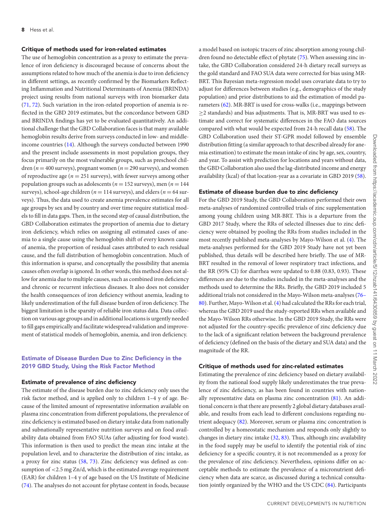#### **Critique of methods used for iron-related estimates**

The use of hemoglobin concentration as a proxy to estimate the prevalence of iron deficiency is discouraged because of concerns about the assumptions related to how much of the anemia is due to iron deficiency in different settings, as recently confirmed by the Biomarkers Reflecting Inflammation and Nutritional Determinants of Anemia (BRINDA) project using results from national surveys with iron biomarker data [\(71,](#page-14-20) [72\)](#page-14-21). Such variation in the iron-related proportion of anemia is reflected in the GBD 2019 estimates, but the concordance between GBD and BRINDA findings has yet to be evaluated quantitatively. An additional challenge that the GBD Collaboration faces is that many available hemoglobin results derive from surveys conducted in low- and middleincome countries [\(14\)](#page-13-2). Although the surveys conducted between 1990 and the present include assessments in most population groups, they focus primarily on the most vulnerable groups, such as preschool children ( $n = 400$  surveys), pregnant women ( $n = 290$  surveys), and women of reproductive age ( $n = 251$  surveys), with fewer surveys among other population groups such as adolescents (*n* = 152 surveys), men (*n* = 144 surveys), school-age children ( $n = 114$  surveys), and elders ( $n = 64$  surveys). Thus, the data used to create anemia prevalence estimates for all age groups by sex and by country and over time require statistical models to fill in data gaps. Then, in the second step of causal distribution, the GBD Collaboration estimates the proportion of anemia due to dietary iron deficiency, which relies on assigning all estimated cases of anemia to a single cause using the hemoglobin shift of every known cause of anemia, the proportion of residual cases attributed to each residual cause, and the full distribution of hemoglobin concentration. Much of this information is sparse, and conceptually the possibility that anemia causes often overlap is ignored. In other words, this method does not allow for anemia due to multiple causes, such as combined iron deficiency and chronic or recurrent infectious diseases. It also does not consider the health consequences of iron deficiency without anemia, leading to likely underestimation of the full disease burden of iron deficiency. The biggest limitation is the sparsity of reliable iron status data. Data collection on various age groups and in additional locations is urgently needed to fill gaps empirically and facilitate widespread validation and improvement of statistical models of hemoglobin, anemia, and iron deficiency.

# **Estimate of Disease Burden Due to Zinc Deficiency in the 2019 GBD Study, Using the Risk Factor Method**

#### **Estimate of prevalence of zinc deficiency**

The estimate of the disease burden due to zinc deficiency only uses the risk factor method, and is applied only to children 1–4 y of age. Because of the limited amount of representative information available on plasma zinc concentration from different populations, the prevalence of zinc deficiency is estimated based on dietary intake data from nationally and subnationally representative nutrition surveys and on food availability data obtained from FAO SUAs (after adjusting for food waste). This information is then used to predict the mean zinc intake at the population level, and to characterize the distribution of zinc intake, as a proxy for zinc status [\(58,](#page-14-7) [73\)](#page-14-22). Zinc deficiency was defined as consumption of <2.5 mg Zn/d, which is the estimated average requirement (EAR) for children 1–4 y of age based on the US Institute of Medicine [\(74\)](#page-14-23). The analyses do not account for phytase content in foods, because

a model based on isotopic tracers of zinc absorption among young children found no detectable effect of phytate [\(75\)](#page-14-24). When assessing zinc intake, the GBD Collaboration considered 24-h dietary recall surveys as the gold standard and FAO SUA data were corrected for bias using MR-BRT. This Bayesian meta-regression model uses covariate data to try to adjust for differences between studies (e.g., demographics of the study population) and prior distributions to aid the estimation of model pa-rameters [\(62\)](#page-14-11). MR-BRT is used for cross-walks (i.e., mappings between  $\geq$ 2 standards) and bias adjustments. That is, MR-BRT was used to estimate and correct for systematic differences in the FAO data sources compared with what would be expected from 24-h recall data [\(58\)](#page-14-7). The GBD Collaboration used their ST-GPR model followed by ensemble distribution fitting (a similar approach to that described already for anemia estimation) to estimate the mean intake of zinc by age, sex, country, and year. To assist with prediction for locations and years without data, the GBD Collaboration also used the lag-distributed income and energy availability (kcal) of that location-year as a covariate in GBD 2019 [\(58\)](#page-14-7).

#### **Estimate of disease burden due to zinc deficiency**

For the GBD 2019 Study, the GBD Collaboration performed their own meta-analyses of randomized controlled trials of zinc supplementation among young children using MR-BRT. This is a departure from the GBD 2017 Study, where the RRs of selected illnesses due to zinc deficiency were obtained by pooling the RRs from studies included in the most recently published meta-analyses by Mayo-Wilson et al. [\(4\)](#page-12-6). The meta-analyses performed for the GBD 2019 Study have not yet been published, thus details will be described here briefly. The use of MR-BRT resulted in the removal of lower respiratory tract infections, and the RR (95% CI) for diarrhea were updated to 0.88 (0.83, 0.93). These differences are due to the studies included in the meta-analyses and the methods used to determine the RRs. Briefly, the GBD 2019 included 5 additional trials not considered in the Mayo-Wilson meta-analyses (76– [80\). Further, Mayo-Wilson et al. \(4\) had calculated the RRs for each trial,](#page-14-25) whereas the GBD 2019 used the study-reported RRs when available and the Mayo-Wilson RRs otherwise. In the GBD 2019 Study, the RRs were not adjusted for the country-specific prevalence of zinc deficiency due to the lack of a significant relation between the background prevalence of deficiency (defined on the basis of the dietary and SUA data) and the magnitude of the RR.

#### **Critique of methods used for zinc-related estimates**

Estimating the prevalence of zinc deficiency based on dietary availability from the national food supply likely underestimates the true prevalence of zinc deficiency, as has been found in countries with nationally representative data on plasma zinc concentration [\(81\)](#page-14-26). An additional concern is that there are presently 2 global dietary databases available, and results from each lead to different conclusions regarding nutrient adequacy  $(82)$ . Moreover, serum or plasma zinc concentration is controlled by a homeostatic mechanism and responds only slightly to changes in dietary zinc intake [\(32,](#page-13-15) [83\)](#page-14-28). Thus, although zinc availability in the food supply may be useful to identify the potential risk of zinc deficiency for a specific country, it is not recommended as a proxy for the prevalence of zinc deficiency. Nevertheless, opinions differ on acceptable methods to estimate the prevalence of a micronutrient deficiency when data are scarce, as discussed during a technical consultation jointly organized by the WHO and the US CDC [\(84\)](#page-14-29). Participants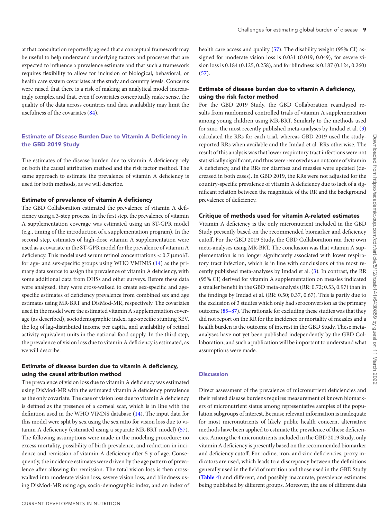at that consultation reportedly agreed that a conceptual framework may be useful to help understand underlying factors and processes that are expected to influence a prevalence estimate and that such a framework requires flexibility to allow for inclusion of biological, behavioral, or health care system covariates at the study and country levels. Concerns were raised that there is a risk of making an analytical model increasingly complex and that, even if covariates conceptually make sense, the quality of the data across countries and data availability may limit the usefulness of the covariates [\(84\)](#page-14-29).

# **Estimate of Disease Burden Due to Vitamin A Deficiency in the GBD 2019 Study**

The estimates of the disease burden due to vitamin A deficiency rely on both the causal attribution method and the risk factor method. The same approach to estimate the prevalence of vitamin A deficiency is used for both methods, as we will describe.

#### **Estimate of prevalence of vitamin A deficiency**

The GBD Collaboration estimated the prevalence of vitamin A deficiency using a 3-step process. In the first step, the prevalence of vitamin A supplementation coverage was estimated using an ST-GPR model (e.g., timing of the introduction of a supplementation program). In the second step, estimates of high-dose vitamin A supplementation were used as a covariate in the ST-GPR model for the prevalence of vitamin A deficiency. This model used serum retinol concentrations < 0.7 μmol/L for age- and sex-specific groups using WHO VMINIS [\(14\)](#page-13-2) as the primary data source to assign the prevalence of vitamin A deficiency, with some additional data from DHSs and other surveys. Before these data were analyzed, they were cross-walked to create sex-specific and agespecific estimates of deficiency prevalence from combined sex and age estimates using MR-BRT and DisMod-MR, respectively. The covariates used in the model were the estimated vitamin A supplementation coverage (as described), sociodemographic index, age-specific stunting SEV, the log of lag-distributed income per capita, and availability of retinol activity equivalent units in the national food supply. In the third step, the prevalence of vision loss due to vitamin A deficiency is estimated, as we will describe.

# **Estimate of disease burden due to vitamin A deficiency, using the causal attribution method**

The prevalence of vision loss due to vitamin A deficiency was estimated using DisMod-MR with the estimated vitamin A deficiency prevalence as the only covariate. The case of vision loss due to vitamin A deficiency is defined as the presence of a corneal scar, which is in line with the definition used in the WHO VIMNS database [\(14\)](#page-13-2). The input data for this model were split by sex using the sex ratio for vision loss due to vitamin A deficiency (estimated using a separate MR-BRT model) [\(57\)](#page-14-6). The following assumptions were made in the modeling procedure: no excess mortality, possibility of birth prevalence, and reduction in incidence and remission of vitamin A deficiency after 5 y of age. Consequently, the incidence estimates were driven by the age pattern of prevalence after allowing for remission. The total vision loss is then crosswalked into moderate vision loss, severe vision loss, and blindness using DisMod-MR using age, socio-demographic index, and an index of health care access and quality [\(57\)](#page-14-6). The disability weight (95% CI) assigned for moderate vision loss is 0.031 (0.019, 0.049), for severe vision loss is 0.184 (0.125, 0.258), and for blindness is 0.187 (0.124, 0.260)  $(57)$ .

# **Estimate of disease burden due to vitamin A deficiency, using the risk factor method**

For the GBD 2019 Study, the GBD Collaboration reanalyzed results from randomized controlled trials of vitamin A supplementation among young children using MR-BRT. Similarly to the methods used for zinc, the most recently published meta-analyses by Imdad et al. [\(3\)](#page-12-7) calculated the RRs for each trial, whereas GBD 2019 used the studyreported RRs when available and the Imdad et al. RRs otherwise. The result of this analysis was that lower respiratory tract infections were not statistically significant, and thus were removed as an outcome of vitamin A deficiency, and the RRs for diarrhea and measles were updated (decreased in both cases). In GBD 2019, the RRs were not adjusted for the country-specific prevalence of vitamin A deficiency due to lack of a significant relation between the magnitude of the RR and the background prevalence of deficiency.

#### **Critique of methods used for vitamin A-related estimates**

Vitamin A deficiency is the only micronutrient included in the GBD Study presently based on the recommended biomarker and deficiency cutoff. For the GBD 2019 Study, the GBD Collaboration ran their own meta-analyses using MR-BRT. The conclusion was that vitamin A supplementation is no longer significantly associated with lower respiratory tract infection, which is in line with conclusions of the most recently published meta-analyses by Imdad et al. [\(3\)](#page-12-7). In contrast, the RR (95% CI) derived for vitamin A supplementation on measles indicated a smaller benefit in the GBD meta-analysis (RR: 0.72; 0.53, 0.97) than in the findings by Imdad et al. (RR: 0.50; 0.37, 0.67). This is partly due to the exclusion of 3 studies which only had seroconversion as the primary outcome [\(85–87\)](#page-14-30). The rationale for excluding these studies was that they did not report on the RR for the incidence or mortality of measles and a health burden is the outcome of interest in the GBD Study. These metaanalyses have not yet been published independently by the GBD Collaboration, and such a publication will be important to understand what assumptions were made.

## **Discussion**

Direct assessment of the prevalence of micronutrient deficiencies and their related disease burdens requires measurement of known biomarkers of micronutrient status among representative samples of the population subgroups of interest. Because relevant information is inadequate for most micronutrients of likely public health concern, alternative methods have been applied to estimate the prevalence of these deficiencies. Among the 4 micronutrients included in the GBD 2019 Study, only vitamin A deficiency is presently based on the recommended biomarker and deficiency cutoff. For iodine, iron, and zinc deficiencies, proxy indicators are used, which leads to a discrepancy between the definitions generally used in the field of nutrition and those used in the GBD Study (**[Table 4](#page-11-0)**) and different, and possibly inaccurate, prevalence estimates being published by different groups. Moreover, the use of different data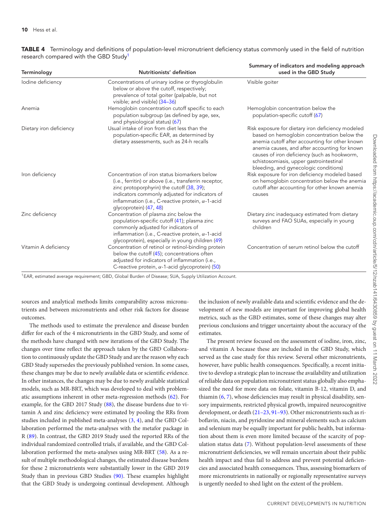| Terminology             | Nutritionists' definition                                                                                                                                                                                                                                                                    | Summary of indicators and modeling approach<br>used in the GBD Study                                                                                                                                                                                                                                                                    |
|-------------------------|----------------------------------------------------------------------------------------------------------------------------------------------------------------------------------------------------------------------------------------------------------------------------------------------|-----------------------------------------------------------------------------------------------------------------------------------------------------------------------------------------------------------------------------------------------------------------------------------------------------------------------------------------|
| lodine deficiency       | Concentrations of urinary iodine or thyroglobulin<br>below or above the cutoff, respectively;<br>prevalence of total goiter (palpable, but not<br>visible; and visible) (34-36)                                                                                                              | Visible goiter                                                                                                                                                                                                                                                                                                                          |
| Anemia                  | Hemoglobin concentration cutoff specific to each<br>population subgroup (as defined by age, sex,<br>and physiological status) (67)                                                                                                                                                           | Hemoglobin concentration below the<br>population-specific cutoff (67)                                                                                                                                                                                                                                                                   |
| Dietary iron deficiency | Usual intake of iron from diet less than the<br>population-specific EAR, as determined by<br>dietary assessments, such as 24-h recalls                                                                                                                                                       | Risk exposure for dietary iron deficiency modeled<br>based on hemoglobin concentration below the<br>anemia cutoff after accounting for other known<br>anemia causes, and after accounting for known<br>causes of iron deficiency (such as hookworm,<br>schistosomiasis, upper gastrointestinal<br>bleeding, and gynecologic conditions) |
| Iron deficiency         | Concentration of iron status biomarkers below<br>(i.e., ferritin) or above (i.e., transferrin receptor,<br>zinc protoporphyrin) the cutoff (38, 39);<br>indicators commonly adjusted for indicators of<br>inflammation (i.e., C-reactive protein, $\alpha$ -1-acid<br>glycoprotein) (47, 48) | Risk exposure for iron deficiency modeled based<br>on hemoglobin concentration below the anemia<br>cutoff after accounting for other known anemia<br>causes                                                                                                                                                                             |
| Zinc deficiency         | Concentration of plasma zinc below the<br>population-specific cutoff (41); plasma zinc<br>commonly adjusted for indicators of<br>inflammation (i.e., C-reactive protein, $\alpha$ -1-acid<br>glycoprotein), especially in young children (49)                                                | Dietary zinc inadequacy estimated from dietary<br>surveys and FAO SUAs, especially in young<br>children                                                                                                                                                                                                                                 |
| Vitamin A deficiency    | Concentration of retinol or retinol-binding protein<br>below the cutoff (45); concentrations often<br>adjusted for indicators of inflammation (i.e.,<br>C-reactive protein, $\alpha$ -1-acid glycoprotein) (50)                                                                              | Concentration of serum retinol below the cutoff                                                                                                                                                                                                                                                                                         |

<span id="page-11-0"></span>**TABLE 4** Terminology and definitions of population-level micronutrient deficiency status commonly used in the field of nutrition research compared with the GBD Study<sup>1</sup>

<sup>1</sup>EAR, estimated average requirement; GBD, Global Burden of Disease; SUA, Supply Utilization Account.

sources and analytical methods limits comparability across micronutrients and between micronutrients and other risk factors for disease outcomes.

The methods used to estimate the prevalence and disease burden differ for each of the 4 micronutrients in the GBD Study, and some of the methods have changed with new iterations of the GBD Study. The changes over time reflect the approach taken by the GBD Collaboration to continuously update the GBD Study and are the reason why each GBD Study supersedes the previously published version. In some cases, these changes may be due to newly available data or scientific evidence. In other instances, the changes may be due to newly available statistical models, such as MR-BRT, which was developed to deal with problematic assumptions inherent in other meta-regression methods [\(62\)](#page-14-11). For example, for the GBD 2017 Study [\(88\)](#page-15-0), the disease burdens due to vitamin A and zinc deficiency were estimated by pooling the RRs from studies included in published meta-analyses [\(3,](#page-12-7) [4\)](#page-12-6), and the GBD Collaboration performed the meta-analyses with the metafor package in R [\(89\)](#page-15-1). In contrast, the GBD 2019 Study used the reported RRs of the individual randomized controlled trials, if available, and the GBD Collaboration performed the meta-analyses using MR-BRT [\(58\)](#page-14-7). As a result of multiple methodological changes, the estimated disease burdens for these 2 micronutrients were substantially lower in the GBD 2019 Study than in previous GBD Studies [\(90\).](#page-15-2) These examples highlight that the GBD Study is undergoing continual development. Although

the inclusion of newly available data and scientific evidence and the development of new models are important for improving global health metrics, such as the GBD estimates, some of these changes may alter previous conclusions and trigger uncertainty about the accuracy of the estimates.

The present review focused on the assessment of iodine, iron, zinc, and vitamin A because these are included in the GBD Study, which served as the case study for this review. Several other micronutrients, however, have public health consequences. Specifically, a recent initiative to develop a strategic plan to increase the availability and utilization of reliable data on population micronutrient status globally also emphasized the need for more data on folate, vitamin B-12, vitamin D, and thiamin [\(6,](#page-12-2) [7\)](#page-12-3), whose deficiencies may result in physical disability, sensory impairments, restricted physical growth, impaired neurocognitive development, or death [\(21–23,](#page-13-6) [91–93\)](#page-15-3). Other micronutrients such as riboflavin, niacin, and pyridoxine and mineral elements such as calcium and selenium may be equally important for public health, but information about them is even more limited because of the scarcity of population status data [\(7\)](#page-12-3). Without population-level assessments of these micronutrient deficiencies, we will remain uncertain about their public health impact and thus fail to address and prevent potential deficiencies and associated health consequences. Thus, assessing biomarkers of more micronutrients in nationally or regionally representative surveys is urgently needed to shed light on the extent of the problem.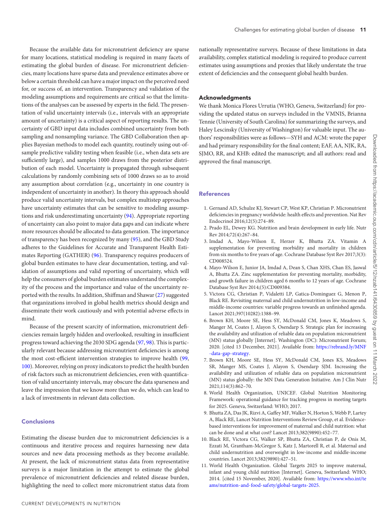Because the available data for micronutrient deficiency are sparse for many locations, statistical modeling is required in many facets of estimating the global burden of disease. For micronutrient deficiencies, many locations have sparse data and prevalence estimates above or below a certain threshold can have a major impact on the perceived need for, or success of, an intervention. Transparency and validation of the modeling assumptions and requirements are critical so that the limitations of the analyses can be assessed by experts in the field. The presentation of valid uncertainty intervals (i.e., intervals with an appropriate amount of uncertainty) is a critical aspect of reporting results. The uncertainty of GBD input data includes combined uncertainty from both sampling and nonsampling variance. The GBD Collaboration then applies Bayesian methods to model each quantity, routinely using out-ofsample predictive validity testing when feasible (i.e., when data sets are sufficiently large), and samples 1000 draws from the posterior distribution of each model. Uncertainty is propagated through subsequent calculations by randomly combining sets of 1000 draws so as to avoid any assumption about correlation (e.g., uncertainty in one country is independent of uncertainty in another). In theory this approach should produce valid uncertainty intervals, but complex multistep approaches have uncertainty estimates that can be sensitive to modeling assumptions and risk underestimating uncertainty [\(94\)](#page-15-4). Appropriate reporting of uncertainty can also point to major data gaps and can indicate where more resources should be allocated to data generation. The importance of transparency has been recognized by many [\(95\)](#page-15-5), and the GBD Study adheres to the Guidelines for Accurate and Transparent Health Estimates Reporting (GATHER) [\(96\)](#page-15-6). Transparency requires producers of global burden estimates to have clear documentation, testing, and validation of assumptions and valid reporting of uncertainty, which will help the consumers of global burden estimates understand the complexity of the process and the importance and value of the uncertainty reported with the results. In addition, Shiffman and Shawar [\(27\)](#page-13-10) suggested that organizations involved in global health metrics should design and disseminate their work cautiously and with potential adverse effects in mind.

Because of the present scarcity of information, micronutrient deficiencies remain largely hidden and overlooked, resulting in insufficient progress toward achieving the 2030 SDG agenda [\(97,](#page-15-7) [98\)](#page-15-8). This is particularly relevant because addressing micronutrient deficiencies is among the most cost-efficient intervention strategies to improve health [\(99,](#page-15-9) [100\)](#page-15-10). Moreover, relying on proxy indicators to predict the health burden of risk factors such as micronutrient deficiencies, even with quantification of valid uncertainty intervals, may obscure the data sparseness and leave the impression that we know more than we do, which can lead to a lack of investments in relevant data collection.

#### **Conclusions**

Estimating the disease burden due to micronutrient deficiencies is a continuous and iterative process and requires harnessing new data sources and new data processing methods as they become available. At present, the lack of micronutrient status data from representative surveys is a major limitation in the attempt to estimate the global prevalence of micronutrient deficiencies and related disease burden, highlighting the need to collect more micronutrient status data from

nationally representative surveys. Because of these limitations in data availability, complex statistical modeling is required to produce current estimates using assumptions and proxies that likely understate the true extent of deficiencies and the consequent global health burden.

## **Acknowledgments**

We thank Monica Flores Urrutia (WHO, Geneva, Switzerland) for providing the updated status on surveys included in the VMNIS, Brianna Tennie (University of South Carolina) for summarizing the surveys, and Haley Lescinsky (University of Washington) for valuable input. The authors' responsibilities were as follows—SYH and ACM: wrote the paper and had primary responsibility for the final content; EAF, AA, NJK, RA, SJMO, RR, and KHB: edited the manuscript; and all authors: read and approved the final manuscript.

#### **References**

- <span id="page-12-0"></span>1. Gernand AD, Schulze KJ, Stewart CP, West KP, Christian P. Micronutrient deficiencies in pregnancy worldwide: health effects and prevention. Nat Rev Endocrinol 2016;12(5):274–89.
- 2. Prado EL, Dewey KG. Nutrition and brain development in early life. Nutr Rev 2014;72(4):267–84.
- <span id="page-12-7"></span>3. Imdad A, Mayo-Wilson E, Herzer K, Bhutta ZA. Vitamin A supplementation for preventing morbidity and mortality in children from six months to five years of age. Cochrane Database Syst Rev 2017;3(3): CD008524.
- <span id="page-12-6"></span>4. Mayo-Wilson E, Junior JA, Imdad A, Dean S, Chan XHS, Chan ES, Jaswal A, Bhutta ZA. Zinc supplementation for preventing mortality, morbidity, and growth failure in children aged 6 months to 12 years of age. Cochrane Database Syst Rev 2014;(5):CD009384.
- <span id="page-12-1"></span>5. Victora CG, Christian P, Vidaletti LP, Gatica-Dominguez G, Menon P, Black RE. Revisiting maternal and child undernutrition in low-income and middle-income countries: variable progress towards an unfinished agenda. Lancet 2021;397(10282):1388–99.
- <span id="page-12-2"></span>6. Brown KH, Moore SE, Hess SY, McDonald CM, Jones K, Meadows S, Manger M, Coates J, Alayon S, Osendarp S. Strategic plan for increasing the availability and utilization of reliable data on population micronutrient (MN) status globally [Internet]. Washington (DC): Micronutrient Forum; [2020. \[cited 13 December, 2021\]. Available from:](https://rebrand.ly/MNF-data-gap-strategy) https://rebrand.ly/MNF -data-gap-strategy.
- <span id="page-12-3"></span>7. Brown KH, Moore SE, Hess SY, McDonald CM, Jones KS, Meadows SR, Manger MS, Coates J, Alayon S, Osendarp SJM. Increasing the availability and utilization of reliable data on population micronutrient (MN) status globally: the MN Data Generation Initiative. Am J Clin Nutr 2021;114(3):862–70.
- <span id="page-12-4"></span>8. World Health Organization, UNICEF. Global Nutrition Monitoring Framework: operational guidance for tracking progress in meeting targets for 2025. Geneva, Switzerland: WHO; 2017.
- 9. Bhutta ZA, Das JK, Rizvi A, Gaffey MF, Walker N, Horton S, Webb P, Lartey A, Black RE, Lancet Nutrition Interventions Review Group, et al. Evidencebased interventions for improvement of maternal and child nutrition: what can be done and at what cost? Lancet 2013;382(9890):452–77.
- 10. Black RE, Victora CG, Walker SP, Bhutta ZA, Christian P, de Onis M, Ezzati M, Grantham-McGregor S, Katz J, Martorell R, et al. Maternal and child undernutrition and overweight in low-income and middle-income countries. Lancet 2013;382(9890):427–51.
- <span id="page-12-5"></span>11. World Health Organization. Global Targets 2025 to improve maternal, infant and young child nutrition [Internet]. Geneva, Switzerland: WHO; 2014. [cited 15 November, 2020]. Available from: https://www.who.int/te [ams/nutrition-and-food-safety/global-targets-2025.](https://www.who.int/teams/nutrition-and-food-safety/global-targets-2025)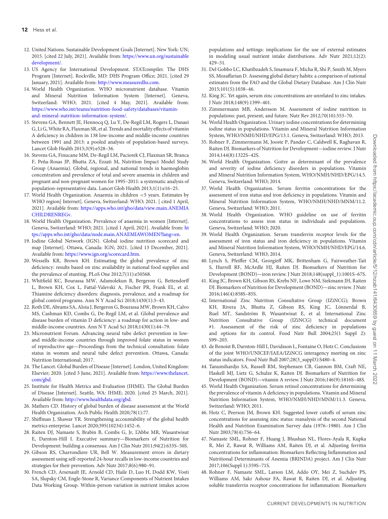- <span id="page-13-0"></span>12. United Nations. Sustainable Development Goals [Internet]. New York: UN; [2015. \[cited 22 July, 2021\]. Available from:](https://www.un.org/sustainabledevelopment/) https://www.un.org/sustainable development/.
- <span id="page-13-1"></span>13. US Agency for International Development. STATcompiler. The DHS Program [Internet]. Rockville, MD: DHS Program Office; 2021. [cited 29 January, 2021]. Available from: [http://www.measuredhs.com.](http://www.measuredhs.com)
- <span id="page-13-2"></span>14. World Health Organization. WHO micronutrient database. Vitamin and Mineral Nutrition Information System [Internet]. Geneva, Switzerland: WHO; 2021. [cited 4 May, 2021]. Available from: [https://www.who.int/teams/nutrition-food-safety/databases/vitamin](https://www.who.int/teams/nutrition-food-safety/databases/vitamin-and-mineral-nutrition-information-system/)and-mineral-nutrition-information-system/.
- <span id="page-13-3"></span>15. Stevens GA, Bennett JE, Hennocq Q, Lu Y, De-Regil LM, Rogers L, Danaei G, Li G,White RA, Flaxman SR, et al. Trends and mortality effects of vitamin A deficiency in children in 138 low-income and middle-income countries between 1991 and 2013: a pooled analysis of population-based surveys. Lancet Glob Health 2015;3(9):e528–36.
- 16. Stevens GA, Finucane MM, De-Regil LM, Paciorek CJ, Flaxman SR, Branca F, Peña-Rosas JP, Bhutta ZA, Ezzati M, Nutrition Impact Model Study Group (Anaemia). Global, regional, and national trends in haemoglobin concentration and prevalence of total and severe anaemia in children and pregnant and non-pregnant women for 1995–2011: a systematic analysis of population-representative data. Lancet Glob Health 2013;1(1):e16–25.
- 17. World Health Organization. Anaemia in children <5 years. Estimates by WHO region[ Internet]. Geneva, Switzerland: WHO; 2021. [ cited 1 April, 2021]. Available from: [https://apps.who.int/gho/data/view.main.ANEMIA](https://apps.who.int/gho/data/view.main.ANEMIACHILDRENREGv) CHILDRENREGv.
- 18. World Health Organization. Prevalence of anaemia in women [Internet]. [Geneva, Switzerland: WHO; 2021. \[cited 1 April, 2021\]. Available from:](https://apps.who.int/gho/data/node.main.ANAEMIAWOMEN?lang=en) ht tps://apps.who.int/gho/data/node.main.ANAEMIAWOMEN?lang=en.
- <span id="page-13-4"></span>19. Iodine Global Network (IGN). Global iodine nutrition scorecard and map [Internet]. Ottawa, Canada: IGN; 2021. [cited 13 December, 2021]. Available from: [https://www.ign.org/scorecard.htm.](https://www.ign.org/scorecard.htm)
- <span id="page-13-5"></span>20. Wessells KR, Brown KH. Estimating the global prevalence of zinc deficiency: results based on zinc availability in national food supplies and the prevalence of stunting. PLoS One 2012;7(11):e50568.
- <span id="page-13-6"></span>21. Whitfield KC, Bourassa MW, Adamolekun B, Bergeron G, Bettendorff L, Brown KH, Cox L, Fattal-Valevski A, Fischer PR, Frank EL, et al. Thiamine deficiency disorders: diagnosis, prevalence, and a roadmap for global control programs. Ann N Y Acad Sci 2018;1430(1):3–43.
- 22. Roth DE, Abrams SA, Aloia J, Bergeron G, Bourassa MW, Brown KH, Calvo MS, Cashman KD, Combs G, De-Regil LM, et al. Global prevalence and disease burden of vitamin D deficiency: a roadmap for action in low- and middle-income countries. Ann N Y Acad Sci 2018;1430(1):44–79.
- 23. Micronutrient Forum. Advancing neural tube defect prevention in lowand middle-income countries through improved folate status in women of reproductive age—Proceedings from the technical consultation: folate status in women and neural tube defect prevention. Ottawa, Canada: Nutrition International; 2017.
- <span id="page-13-7"></span>24. The Lancet. Global Burden of Disease [Internet]. London, United Kingdom: [Elsevier; 2020. \[cited 3 June, 2021\]. Available from:](https://www.thelancet.com/gbd) https://www.thelancet. com/gbd.
- <span id="page-13-8"></span>25. Institute for Health Metrics and Evaluation (IHME). The Global Burden of Disease [Internet]. Seattle, WA: IHME; 2020. [cited 25 March, 2021]. Available from: [http://www.healthdata.org/gbd.](http://www.healthdata.org/gbd)
- <span id="page-13-9"></span>26. Mathers CD. History of global burden of disease assessment at the World Health Organization. Arch Public Health 2020;78(1):77.
- <span id="page-13-10"></span>27. Shiffman J, Shawar YR. Strengthening accountability of the global health metrics enterprise. Lancet 2020;395(10234):1452–6.
- <span id="page-13-11"></span>28. Raiten DJ, Namaste S, Brabin B, Combs G, Jr, L'Abbe MR, Wasantwisut E, Darnton-Hill I. Executive summary—Biomarkers of Nutrition for Development: building a consensus. Am J Clin Nutr 2011;94(2):633S–50S.
- <span id="page-13-12"></span>29. Gibson RS, Charrondiere UR, Bell W. Measurement errors in dietary assessment using self-reported 24-hour recalls in low-income countries and strategies for their prevention. Adv Nutr 2017;8(6):980–91.
- <span id="page-13-13"></span>30. French CD, Arsenault JE, Arnold CD, Haile D, Luo H, Dodd KW, Vosti SA, Slupsky CM, Engle-Stone R, Variance Components of Nutrient Intakes Data Working Group. Within-person variation in nutrient intakes across

populations and settings: implications for the use of external estimates in modeling usual nutrient intake distributions. Adv Nutr 2021;12(2): 429–51.

- <span id="page-13-14"></span>31. Del Gobbo LC, Khatibzadeh S, Imamura F, Micha R, Shi P, Smith M, Myers SS, Mozaffarian D. Assessing global dietary habits: a comparison of national estimates from the FAO and the Global Dietary Database. Am J Clin Nutr 2015;101(5):1038–46.
- <span id="page-13-15"></span>32. King JC. Yet again, serum zinc concentrations are unrelated to zinc intakes. J Nutr 2018;148(9):1399–401.
- <span id="page-13-16"></span>33. Zimmermann MB, Andersson M. Assessment of iodine nutrition in populations: past, present, and future. Nutr Rev 2012;70(10):553–70.
- <span id="page-13-23"></span>34. World Health Organization. Urinary iodine concentrations for determining iodine status in populations. Vitamin and Mineral Nutrition Information System, WHO/NMH/NHD/EPG/13.1. Geneva, Switzerland: WHO; 2013.
- <span id="page-13-17"></span>35. Rohner F, Zimmermann M, Jooste P, Pandav C, Caldwell K, Raghavan R, Raiten DJ. Biomarkers of Nutrition for Development—iodine review. J Nutr 2014;144(8):1322S–42S.
- <span id="page-13-18"></span>36. World Health Organization. Goitre as determinant of the prevalence and severity of iodine deficiency disorders in populations. Vitamin and Mineral Nutrition Information System, WHO/NMH/NHD/EPG/14.5. Geneva, Switzerland: WHO; 2014.
- <span id="page-13-19"></span>37. World Health Organization. Serum ferritin concentrations for the assessment of iron status and iron deficiency in populations. Vitamin and Mineral Nutrition Information System, WHO/NMH/NHD/MNM/11.2. Geneva, Switzerland: WHO; 2011.
- <span id="page-13-24"></span>38. World Health Organization. WHO guideline on use of ferritin concentrations to assess iron status in individuals and populations. Geneva, Switzerland: WHO; 2020.
- <span id="page-13-25"></span>39. World Health Organization. Serum transferrin receptor levels for the assessment of iron status and iron deficiency in populations. Vitamin and Mineral Nutrition Information System, WHO/NMH/NHD/EPG/14.6. Geneva, Switzerland: WHO; 2014.
- <span id="page-13-28"></span>40. Lynch S, Pfeiffer CM, Georgieff MK, Brittenham G, Fairweather-Tait S, Hurrell RF, McArdle HJ, Raiten DJ. Biomarkers of Nutrition for Development (BOND)—iron review. J Nutr 2018;148(suppl\_1):1001S–67S.
- <span id="page-13-20"></span>41. King JC, Brown KH, Gibson RS, Krebs NF, Lowe NM, Siekmann JH, Raiten DJ. Biomarkers of Nutrition for Development (BOND)—zinc review. J Nutr 2016;146(4):858S–85S.
- 42. International Zinc Nutrition Consultative Group (IZiNCG); Brown KH, Rivera JA, Bhutta Z, Gibson RS, King JC, Lönnerdal B, Ruel MT, Sandström B, Wasantwisut E, et al. International Zinc Nutrition Consultative Group (IZiNCG) technical document #1. Assessment of the risk of zinc deficiency in populations and options for its control. Food Nutr Bull 2004;25(1 Suppl 2): S99–203.
- 43. de Benoist B, Darnton-Hill I, Davidsson L, Fontaine O, Hotz C. Conclusions of the joint WHO/UNICEF/IAEA/IZiNCG interagency meeting on zinc status indicators. Food Nutr Bull 2007;28(3\_suppl3):S480–4.
- <span id="page-13-21"></span>44. Tanumihardjo SA, Russell RM, Stephensen CB, Gannon BM, Craft NE, Haskell MJ, Lietz G, Schulze K, Raiten DJ. Biomarkers of Nutrition for Development (BOND)—vitamin A review. J Nutr 2016;146(9):1816S–48S.
- <span id="page-13-22"></span>45. World Health Organization. Serum retinol concentrations for determining the prevalence of vitamin A deficiency in populations. Vitamin and Mineral Nutrition Information System, WHO/NMH/NHD/MNM/11.3. Geneva, Switzerland: WHO; 2011.
- <span id="page-13-26"></span>46. Hotz C, Peerson JM, Brown KH. Suggested lower cutoffs of serum zinc concentrations for assessing zinc status: reanalysis of the second National Health and Nutrition Examination Survey data (1976–1980). Am J Clin Nutr 2003;78(4):756–64.
- <span id="page-13-27"></span>47. Namaste SML, Rohner F, Huang J, Bhushan NL, Flores-Ayala R, Kupka R, Mei Z, Rawat R, Williams AM, Raiten DJ, et al. Adjusting ferritin concentrations for inflammation: Biomarkers Reflecting Inflammation and Nutritional Determinants of Anemia (BRINDA) project. Am J Clin Nutr 2017;106(Suppl 1):359S–71S.
- <span id="page-13-29"></span>48. Rohner F, Namaste SML, Larson LM, Addo OY, Mei Z, Suchdev PS, Williams AM, Sakr Ashour FA, Rawat R, Raiten DJ, et al. Adjusting soluble transferrin receptor concentrations for inflammation: Biomarkers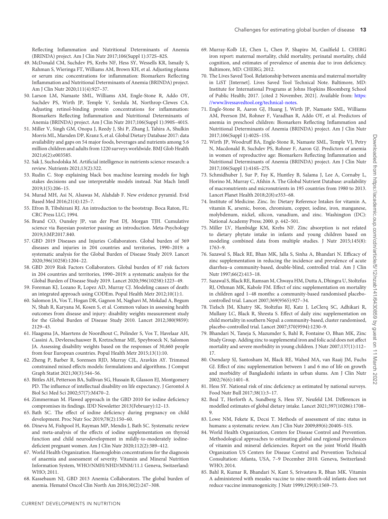Reflecting Inflammation and Nutritional Determinants of Anemia (BRINDA) project. Am J Clin Nutr 2017;106(Suppl 1):372S–82S.

- <span id="page-14-31"></span>49. McDonald CM, Suchdev PS, Krebs NF, Hess SY, Wessells KR, Ismaily S, Rahman S, Wieringa FT, Williams AM, Brown KH, et al. Adjusting plasma or serum zinc concentrations for inflammation: Biomarkers Reflecting Inflammation and Nutritional Determinants of Anemia (BRINDA) project. Am J Clin Nutr 2020;111(4):927–37.
- <span id="page-14-32"></span>50. Larson LM, Namaste SML, Williams AM, Engle-Stone R, Addo OY, Suchdev PS, Wirth JP, Temple V, Serdula M, Northrop-Clewes CA. Adjusting retinol-binding protein concentrations for inflammation: Biomarkers Reflecting Inflammation and Nutritional Determinants of Anemia (BRINDA) project. Am J Clin Nutr 2017;106(Suppl 1):390S–401S.
- <span id="page-14-0"></span>51. Miller V, Singh GM, Onopa J, Reedy J, Shi P, Zhang J, Tahira A, Shulkin Morris ML, Marsden DP, Kranz S, et al. Global Dietary Database 2017: data availability and gaps on 54 major foods, beverages and nutrients among 5.6 million children and adults from 1220 surveys worldwide. BMJ Glob Health 2021;6(2):e003585.
- <span id="page-14-1"></span>52. Sak J, Suchodolska M. Artificial intelligence in nutrients science research: a review. Nutrients 2021;13(2):322.
- <span id="page-14-2"></span>53. Rudin C. Stop explaining black box machine learning models for high stakes decisions and use interpretable models instead. Nat Mach Intell 2019;1(5):206–15.
- <span id="page-14-3"></span>54. Murad MH, Asi N, Alsawas M, Alahdab F. New evidence pyramid. Evid Based Med 2016;21(4):125–7.
- <span id="page-14-4"></span>55. Efron B, Tibshirani RJ. An introduction to the bootstrap. Boca Raton, FL: CRC Press LLC; 1994.
- <span id="page-14-5"></span>56. Brand CO, Ounsley JP, van der Post DJ, Morgan TJH. Cumulative science via Bayesian posterior passing: an introduction. Meta-Psychology 2019;3:MP.2017.840.
- <span id="page-14-6"></span>57. GBD 2019 Diseases and Injuries Collaborators. Global burden of 369 diseases and injuries in 204 countries and territories, 1990–2019: a systematic analysis for the Global Burden of Disease Study 2019. Lancet 2020;396(10258):1204–22.
- <span id="page-14-7"></span>58. GBD 2019 Risk Factors Collaborators. Global burden of 87 risk factors in 204 countries and territories, 1990–2019: a systematic analysis for the Global Burden of Disease Study 2019. Lancet 2020;396(10258):1223–49.
- <span id="page-14-8"></span>59. Foreman KJ, Lozano R, Lopez AD, Murray CJ. Modeling causes of death: an integrated approach using CODEm. Popul Health Metr 2012;10(1):1.
- <span id="page-14-9"></span>60. Salomon JA, Vos T, Hogan DR, Gagnon M, Naghavi M, Mokdad A, Begum N, Shah R, Karyana M, Kosen S, et al. Common values in assessing health outcomes from disease and injury: disability weights measurement study for the Global Burden of Disease Study 2010. Lancet 2012;380(9859): 2129–43.
- <span id="page-14-10"></span>61. Haagsma JA, Maertens de Noordhout C, Polinder S, Vos T, Havelaar AH, Cassini A, Devleesschauwer B, Kretzschmar ME, Speybroeck N, Salomon JA. Assessing disability weights based on the responses of 30,660 people from four European countries. Popul Health Metr 2015;13(1):10.
- <span id="page-14-11"></span>62. Zheng P, Barber R, Sorensen RJD, Murray CJL, Aravkin AY. Trimmed constrained mixed effects models: formulations and algorithms. J Comput Graph Statist 2021;30(3):544–56.
- <span id="page-14-12"></span>63. Bittles AH, Petterson BA, Sullivan SG, Hussain R, Glasson EJ, Montgomery PD. The influence of intellectual disability on life expectancy. J Gerontol A Biol Sci Med Sci 2002;57(7):M470–2.
- <span id="page-14-13"></span>64. Zimmerman M. Flawed approach in the GBD 2010 for iodine deficiency compromises its findings. IDD Newsletter 2013(February):12–13.
- <span id="page-14-14"></span>65. Bath SC. The effect of iodine deficiency during pregnancy on child development. Proc Nutr Soc 2019;78(2):150–60.
- <span id="page-14-15"></span>66. Dineva M, Fishpool H, Rayman MP, Mendis J, Bath SC. Systematic review and meta-analysis of the effects of iodine supplementation on thyroid function and child neurodevelopment in mildly-to-moderately iodinedeficient pregnant women. Am J Clin Nutr 2020;112(2):389–412.
- <span id="page-14-16"></span>67. World Health Organization. Haemoglobin concentrations for the diagnosis of anaemia and assessment of severity. Vitamin and Mineral Nutrition Information System, WHO/NMH/NHD/MNM/11.1 Geneva, Switzerland: WHO; 2011.
- <span id="page-14-17"></span>68. Kassebaum NJ, GBD 2013 Anemia Collaborators. The global burden of anemia. Hematol Oncol Clin North Am 2016;30(2):247–308.
- <span id="page-14-18"></span>69. Murray-Kolb LE, Chen L, Chen P, Shapiro M, Caulfield L. CHERG iron report: maternal mortality, child mortality, perinatal mortality, child cognition, and estimates of prevalence of anemia due to iron deficiency. Baltimore, MD: CHERG; 2012.
- <span id="page-14-19"></span>70. The Lives Saved Tool. Relationship between anemia and maternal mortality in LiST [Internet]. Lives Saved Tool Technical Note. Baltimore, MD: Institute for International Programs at Johns Hopkins Bloomberg School [of Public Health; 2017. \[cited 2 November, 2021\]. Available from:](https://www.livessavedtool.org/technical-notes) https: //www.livessavedtool.org/technical-notes.
- <span id="page-14-20"></span>71. Engle-Stone R, Aaron GJ, Huang J, Wirth JP, Namaste SML, Williams AM, Peerson JM, Rohner F, Varadhan R, Addo OY, et al. Predictors of anemia in preschool children: Biomarkers Reflecting Inflammation and Nutritional Determinants of Anemia (BRINDA) project. Am J Clin Nutr 2017;106(Suppl 1):402S–15S.
- <span id="page-14-21"></span>72. Wirth JP, Woodruff BA, Engle-Stone R, Namaste SML, Temple VJ, Petry N, Macdonald B, Suchdev PS, Rohner F, Aaron GJ. Predictors of anemia in women of reproductive age: Biomarkers Reflecting Inflammation and Nutritional Determinants of Anemia (BRINDA) project. Am J Clin Nutr 2017;106(Suppl 1):416S–27S.
- <span id="page-14-22"></span>73. Schmidhuber J, Sur P, Fay K, Huntley B, Salama J, Lee A, Cornaby L, Horino M, Murray C, Afshin A. The Global Nutrient Database: availability of macronutrients and micronutrients in 195 countries from 1980 to 2013. Lancet Planet Health 2018;2(8):e353–68.
- <span id="page-14-23"></span>74. Institute of Medicine. Zinc. In: Dietary Reference Intakes for vitamin A, vitamin K, arsenic, boron, chromium, copper, iodine, iron, manganese, molybdenum, nickel, silicon, vanadium, and zinc. Washington (DC): National Academy Press; 2000. p. 442–501.
- <span id="page-14-24"></span>75. Miller LV, Hambidge KM, Krebs NF. Zinc absorption is not related to dietary phytate intake in infants and young children based on modeling combined data from multiple studies. J Nutr 2015;145(8): 1763–9.
- <span id="page-14-25"></span>76. Sazawal S, Black RE, Bhan MK, Jalla S, Sinha A, Bhandari N. Efficacy of zinc supplementation in reducing the incidence and prevalence of acute diarrhea–a community-based, double-blind, controlled trial. Am J Clin Nutr 1997;66(2):413–18.
- 77. Sazawal S, Black RE, Ramsan M, Chwaya HM, Dutta A, Dhingra U, Stoltzfus RJ, Othman MK, Kabole FM. Effect of zinc supplementation on mortality in children aged 1–48 months: a community-based randomised placebocontrolled trial. Lancet 2007;369(9565):927–34.
- 78. Tielsch JM, Khatry SK, Stoltzfus RJ, Katz J, LeClerq SC, Adhikari R, Mullany LC, Black R, Shresta S. Effect of daily zinc supplementation on child mortality in southern Nepal: a community-based, cluster randomised, placebo-controlled trial. Lancet 2007;370(9594):1230–9.
- 79. Bhandari N, Taneja S, Mazumder S, Bahl R, Fontaine O, Bhan MK, Zinc Study Group. Adding zinc to supplemental iron and folic acid does not affect mortality and severe morbidity in young children. J Nutr 2007;137(1):112– 17.
- 80. Osendarp SJ, Santosham M, Black RE, Wahed MA, van Raaij JM, Fuchs GJ. Effect of zinc supplementation between 1 and 6 mo of life on growth and morbidity of Bangladeshi infants in urban slums. Am J Clin Nutr 2002;76(6):1401–8.
- <span id="page-14-26"></span>81. Hess SY. National risk of zinc deficiency as estimated by national surveys. Food Nutr Bull 2017;38(1):3–17.
- <span id="page-14-27"></span>82. Beal T, Herforth A, Sundberg S, Hess SY, Neufeld LM. Differences in modelled estimates of global dietary intake. Lancet 2021;397(10286):1708– 9.
- <span id="page-14-28"></span>83. Lowe NM, Fekete K, Decsi T. Methods of assessment of zinc status in humans: a systematic review. Am J Clin Nutr 2009;89(6):2040S–51S.
- <span id="page-14-29"></span>84. World Health Organization, Centers for Disease Control and Prevention. Methodological approaches to estimating global and regional prevalences of vitamin and mineral deficiencies. Report on the joint World Health Organization US Centers for Disease Control and Prevention Technical Consultation: Atlanta, USA, 7–9 December 2010. Geneva, Switzerland: WHO; 2014.
- <span id="page-14-30"></span>85. Bahl R, Kumar R, Bhandari N, Kant S, Srivastava R, Bhan MK. Vitamin A administered with measles vaccine to nine-month-old infants does not reduce vaccine immunogenicity. J Nutr 1999;129(8):1569–73.